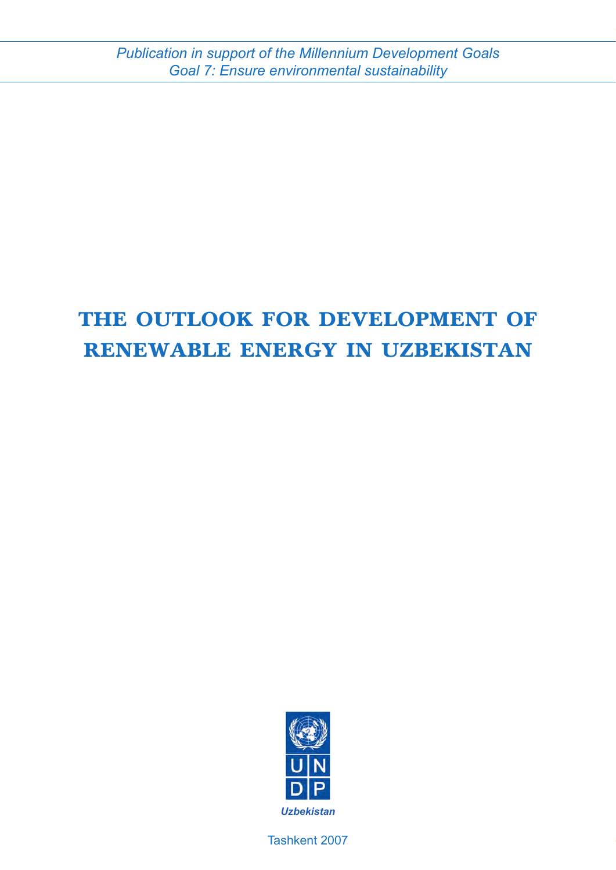# **The Outlook for Development of Renewable Energy in Uzbekistan**



Tashkent 2007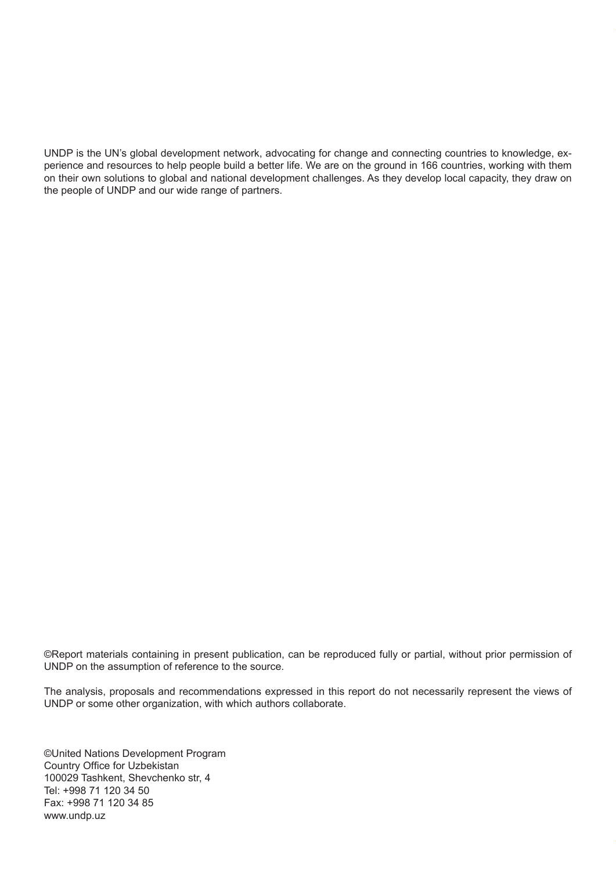UNDP is the UN's global development network, advocating for change and connecting countries to knowledge, experience and resources to help people build a better life. We are on the ground in 166 countries, working with them on their own solutions to global and national development challenges. As they develop local capacity, they draw on the people of UNDP and our wide range of partners.

©Report materials containing in present publication, can be reproduced fully or partial, without prior permission of UNDP on the assumption of reference to the source.

The analysis, proposals and recommendations expressed in this report do not necessarily represent the views of UNDP or some other organization, with which authors collaborate.

©United Nations Development Program Country Office for Uzbekistan 100029 Tashkent, Shevchenko str, 4 Tel: +998 71 120 34 50 Fax: +998 71 120 34 85 www.undp.uz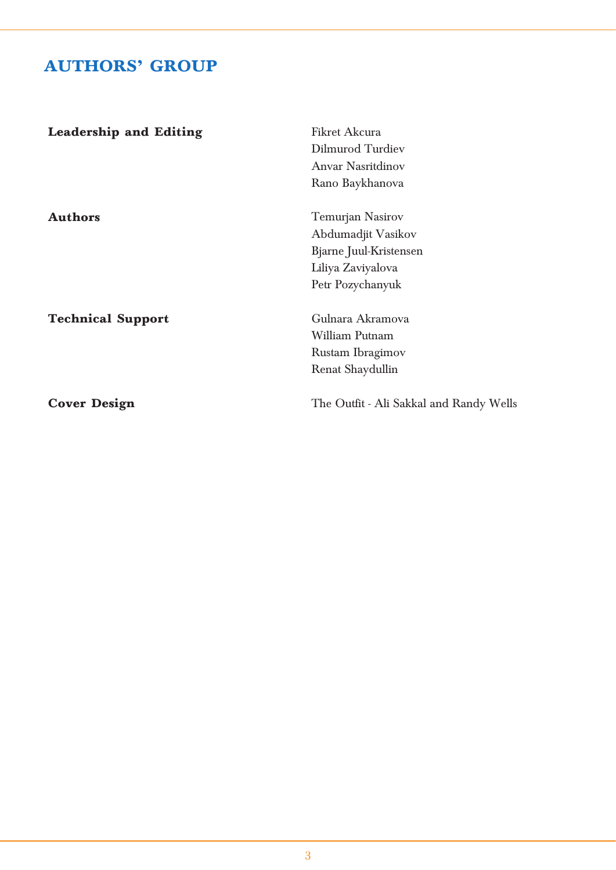# **AUTHORS' GROUP**

| <b>Leadership and Editing</b> | <b>Fikret Akcura</b>                    |  |  |
|-------------------------------|-----------------------------------------|--|--|
|                               | Dilmurod Turdiev                        |  |  |
|                               | <b>Anvar Nasritdinov</b>                |  |  |
|                               | Rano Baykhanova                         |  |  |
| <b>Authors</b>                | Temurjan Nasirov                        |  |  |
|                               | Abdumadjit Vasikov                      |  |  |
|                               | Bjarne Juul-Kristensen                  |  |  |
|                               | Liliya Zaviyalova                       |  |  |
|                               | Petr Pozychanyuk                        |  |  |
| <b>Technical Support</b>      | Gulnara Akramova                        |  |  |
|                               | William Putnam                          |  |  |
|                               | Rustam Ibragimov                        |  |  |
|                               | Renat Shaydullin                        |  |  |
| <b>Cover Design</b>           | The Outfit - Ali Sakkal and Randy Wells |  |  |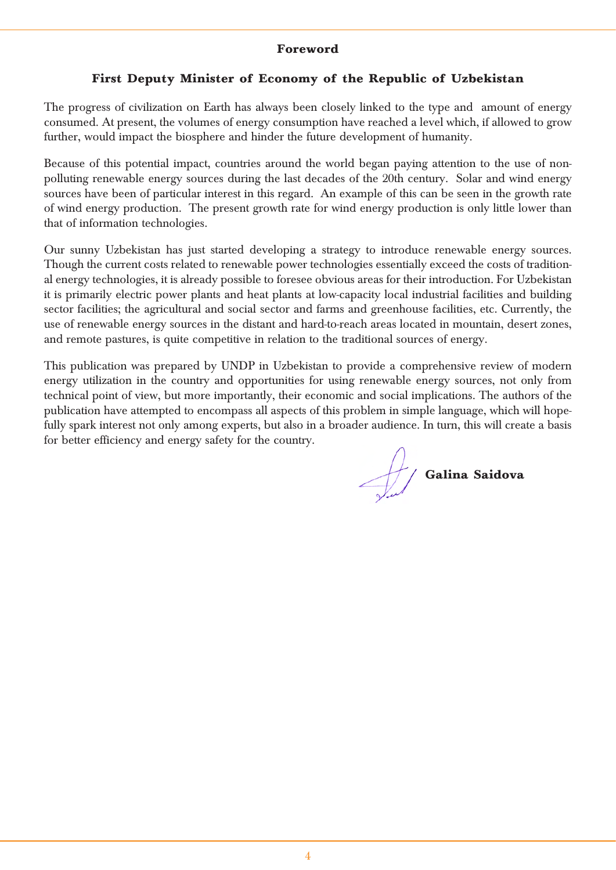#### **Foreword**

#### **First Deputy Minister of Economy of the Republic of Uzbekistan**

The progress of civilization on Earth has always been closely linked to the type and amount of energy consumed. At present, the volumes of energy consumption have reached a level which, if allowed to grow further, would impact the biosphere and hinder the future development of humanity.

Because of this potential impact, countries around the world began paying attention to the use of nonpolluting renewable energy sources during the last decades of the 20th century. Solar and wind energy sources have been of particular interest in this regard. An example of this can be seen in the growth rate of wind energy production. The present growth rate for wind energy production is only little lower than that of information technologies.

Our sunny Uzbekistan has just started developing a strategy to introduce renewable energy sources. Though the current costs related to renewable power technologies essentially exceed the costs of traditional energy technologies, it is already possible to foresee obvious areas for their introduction. For Uzbekistan it is primarily electric power plants and heat plants at low-capacity local industrial facilities and building sector facilities; the agricultural and social sector and farms and greenhouse facilities, etc. Currently, the use of renewable energy sources in the distant and hard-to-reach areas located in mountain, desert zones, and remote pastures, is quite competitive in relation to the traditional sources of energy.

This publication was prepared by UNDP in Uzbekistan to provide a comprehensive review of modern energy utilization in the country and opportunities for using renewable energy sources, not only from technical point of view, but more importantly, their economic and social implications. The authors of the publication have attempted to encompass all aspects of this problem in simple language, which will hopefully spark interest not only among experts, but also in a broader audience. In turn, this will create a basis for better efficiency and energy safety for the country.

**Galina Saidova**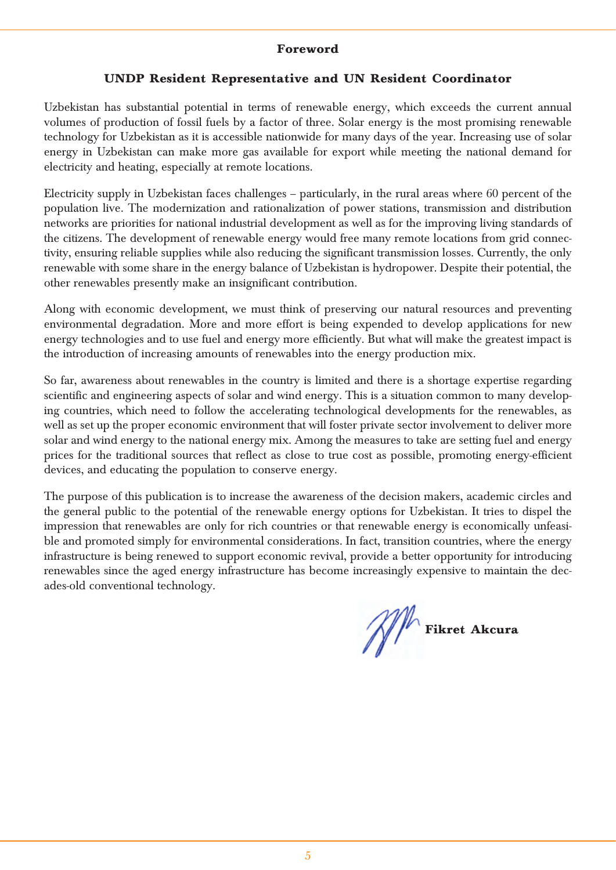#### **Foreword**

#### **UNDP Resident Representative and UN Resident Coordinator**

Uzbekistan has substantial potential in terms of renewable energy, which exceeds the current annual volumes of production of fossil fuels by a factor of three. Solar energy is the most promising renewable technology for Uzbekistan as it is accessible nationwide for many days of the year. Increasing use of solar energy in Uzbekistan can make more gas available for export while meeting the national demand for electricity and heating, especially at remote locations.

Electricity supply in Uzbekistan faces challenges – particularly, in the rural areas where 60 percent of the population live. The modernization and rationalization of power stations, transmission and distribution networks are priorities for national industrial development as well as for the improving living standards of the citizens. The development of renewable energy would free many remote locations from grid connectivity, ensuring reliable supplies while also reducing the significant transmission losses. Currently, the only renewable with some share in the energy balance of Uzbekistan is hydropower. Despite their potential, the other renewables presently make an insignificant contribution.

Along with economic development, we must think of preserving our natural resources and preventing environmental degradation. More and more effort is being expended to develop applications for new energy technologies and to use fuel and energy more efficiently. But what will make the greatest impact is the introduction of increasing amounts of renewables into the energy production mix.

So far, awareness about renewables in the country is limited and there is a shortage expertise regarding scientific and engineering aspects of solar and wind energy. This is a situation common to many developing countries, which need to follow the accelerating technological developments for the renewables, as well as set up the proper economic environment that will foster private sector involvement to deliver more solar and wind energy to the national energy mix. Among the measures to take are setting fuel and energy prices for the traditional sources that reflect as close to true cost as possible, promoting energy-efficient devices, and educating the population to conserve energy.

The purpose of this publication is to increase the awareness of the decision makers, academic circles and the general public to the potential of the renewable energy options for Uzbekistan. It tries to dispel the impression that renewables are only for rich countries or that renewable energy is economically unfeasible and promoted simply for environmental considerations. In fact, transition countries, where the energy infrastructure is being renewed to support economic revival, provide a better opportunity for introducing renewables since the aged energy infrastructure has become increasingly expensive to maintain the decades-old conventional technology.

**Fikret Akcura**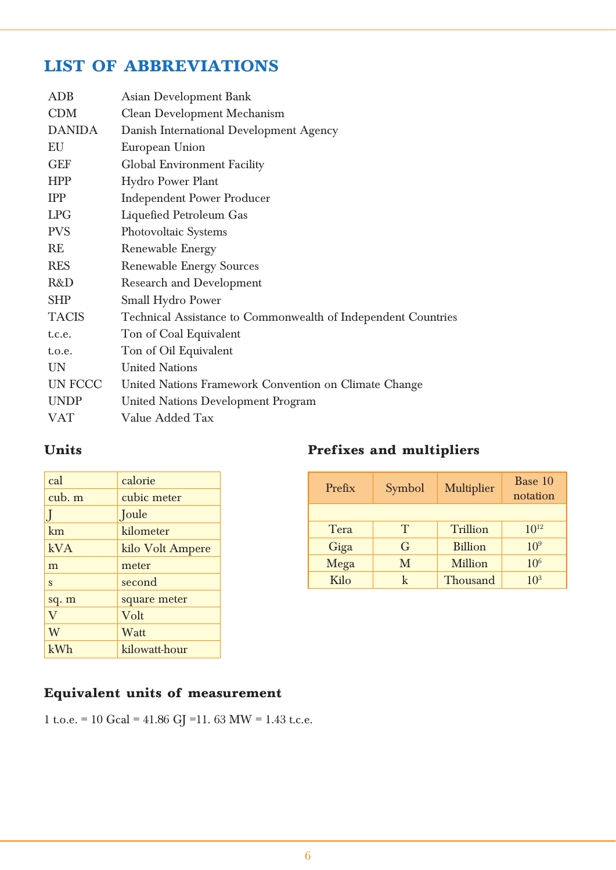# **LIST OF ABBREVIATIONS**

| <b>ADB</b>    | <b>Asian Development Bank</b>                                 |
|---------------|---------------------------------------------------------------|
| <b>CDM</b>    | Clean Development Mechanism                                   |
| <b>DANIDA</b> | Danish International Development Agency                       |
| EU            | European Union                                                |
| <b>GEF</b>    | Global Environment Facility                                   |
| <b>HPP</b>    | Hydro Power Plant                                             |
| <b>IPP</b>    | <b>Independent Power Producer</b>                             |
| <b>LPG</b>    | Liquefied Petroleum Gas                                       |
| <b>PVS</b>    | Photovoltaic Systems                                          |
| RE            | Renewable Energy                                              |
| <b>RES</b>    | <b>Renewable Energy Sources</b>                               |
| R&D           | <b>Research and Development</b>                               |
| <b>SHP</b>    | Small Hydro Power                                             |
| <b>TACIS</b>  | Technical Assistance to Commonwealth of Independent Countries |
| t.c.e.        | Ton of Coal Equivalent                                        |
| t.o.e.        | Ton of Oil Equivalent                                         |
| <b>UN</b>     | <b>United Nations</b>                                         |
| UN FCCC       | United Nations Framework Convention on Climate Change         |
| <b>UNDP</b>   | United Nations Development Program                            |
| VAT           | Value Added Tax                                               |
|               |                                                               |

## **Units**

| cal      | calorie          |
|----------|------------------|
| cub. m   | cubic meter      |
|          | Joule            |
| km       | kilometer        |
| kVA      | kilo Volt Ampere |
| m        | meter            |
| S        | second           |
| sq. m    | square meter     |
| $\rm _V$ | Volt             |
| W        | Watt             |
| kWh      | kilowatt-hour    |

## **Prefixes and multipliers**

| Prefix | Symbol | <b>Multiplier</b> | Base 10<br>notation |
|--------|--------|-------------------|---------------------|
|        |        |                   |                     |
| Tera   | T      | <b>Trillion</b>   | $10^{12}$           |
| Giga   | G      | <b>Billion</b>    | $10^{9}$            |
| Mega   | M      | <b>Million</b>    | 10 <sup>6</sup>     |
| Kilo   | k      | Thousand          | 10 <sup>3</sup>     |

## **Equivalent units of measurement**

1 t.o.e. = 10 Gcal = 41.86 GJ = 11.63 MW = 1.43 t.c.e.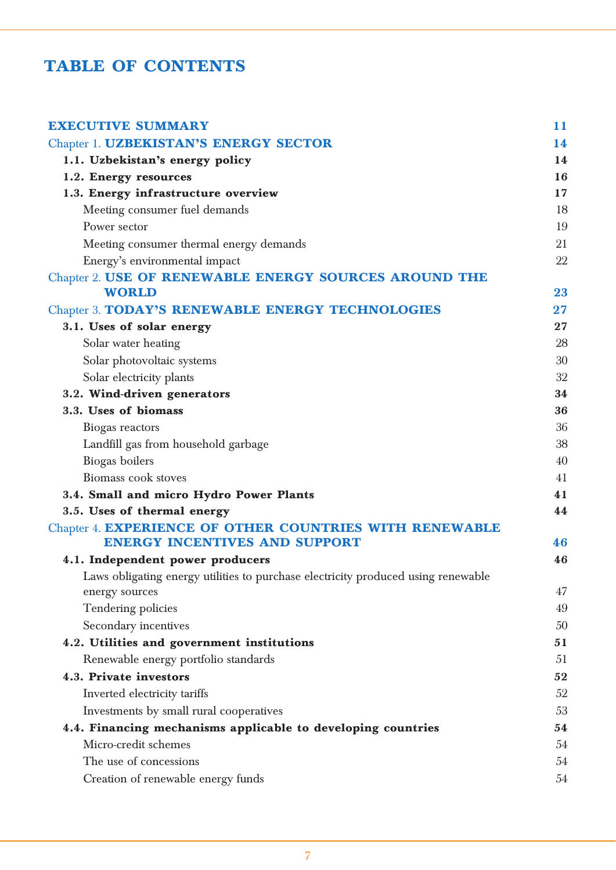# **TABLE OF CONTENTS**

| <b>EXECUTIVE SUMMARY</b>                                                          | 11 |
|-----------------------------------------------------------------------------------|----|
| Chapter 1. UZBEKISTAN'S ENERGY SECTOR                                             | 14 |
| 1.1. Uzbekistan's energy policy                                                   | 14 |
| 1.2. Energy resources                                                             | 16 |
| 1.3. Energy infrastructure overview                                               | 17 |
| Meeting consumer fuel demands                                                     | 18 |
| Power sector                                                                      | 19 |
| Meeting consumer thermal energy demands                                           | 21 |
| Energy's environmental impact                                                     | 22 |
| Chapter 2. USE OF RENEWABLE ENERGY SOURCES AROUND THE<br><b>WORLD</b>             | 23 |
| Chapter 3. TODAY'S RENEWABLE ENERGY TECHNOLOGIES                                  | 27 |
| 3.1. Uses of solar energy                                                         | 27 |
| Solar water heating                                                               | 28 |
| Solar photovoltaic systems                                                        | 30 |
| Solar electricity plants                                                          | 32 |
| 3.2. Wind-driven generators                                                       | 34 |
| 3.3. Uses of biomass                                                              | 36 |
| Biogas reactors                                                                   | 36 |
| Landfill gas from household garbage                                               | 38 |
| Biogas boilers                                                                    | 40 |
| Biomass cook stoves                                                               | 41 |
| 3.4. Small and micro Hydro Power Plants                                           | 41 |
| 3.5. Uses of thermal energy                                                       | 44 |
| Chapter 4. EXPERIENCE OF OTHER COUNTRIES WITH RENEWABLE                           |    |
| <b>ENERGY INCENTIVES AND SUPPORT</b>                                              | 46 |
| 4.1. Independent power producers                                                  | 46 |
| Laws obligating energy utilities to purchase electricity produced using renewable |    |
| energy sources                                                                    | 47 |
| Tendering policies                                                                | 49 |
| Secondary incentives                                                              | 50 |
| 4.2. Utilities and government institutions                                        | 51 |
| Renewable energy portfolio standards                                              | 51 |
| 4.3. Private investors                                                            | 52 |
| Inverted electricity tariffs                                                      | 52 |
| Investments by small rural cooperatives                                           | 53 |
| 4.4. Financing mechanisms applicable to developing countries                      | 54 |
| Micro-credit schemes                                                              | 54 |
| The use of concessions                                                            | 54 |
| Creation of renewable energy funds                                                | 54 |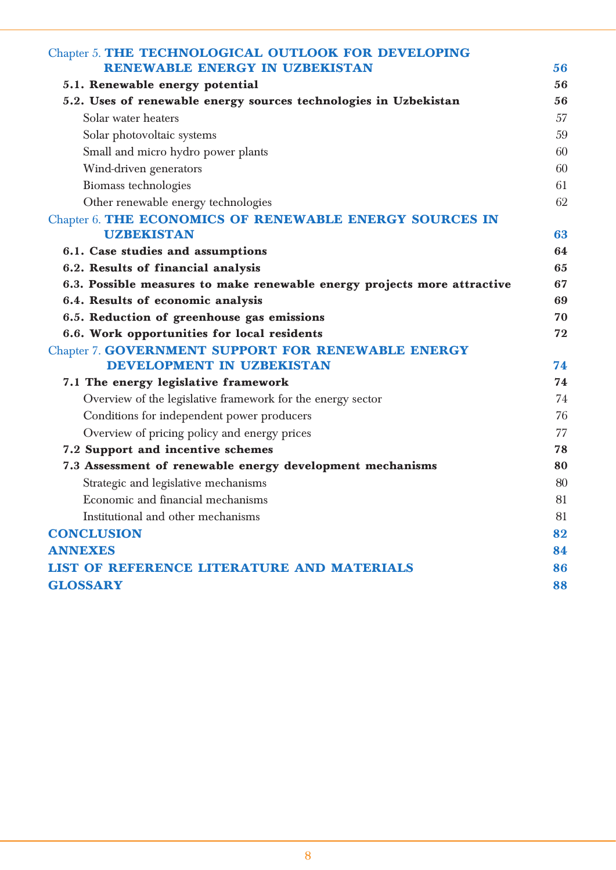| Chapter 5. THE TECHNOLOGICAL OUTLOOK FOR DEVELOPING                      |    |
|--------------------------------------------------------------------------|----|
| <b>RENEWABLE ENERGY IN UZBEKISTAN</b>                                    | 56 |
| 5.1. Renewable energy potential                                          | 56 |
| 5.2. Uses of renewable energy sources technologies in Uzbekistan         | 56 |
| Solar water heaters                                                      | 57 |
| Solar photovoltaic systems                                               | 59 |
| Small and micro hydro power plants                                       | 60 |
| Wind-driven generators                                                   | 60 |
| Biomass technologies                                                     | 61 |
| Other renewable energy technologies                                      | 62 |
| Chapter 6. THE ECONOMICS OF RENEWABLE ENERGY SOURCES IN                  |    |
| <b>UZBEKISTAN</b>                                                        | 63 |
| 6.1. Case studies and assumptions                                        | 64 |
| 6.2. Results of financial analysis                                       | 65 |
| 6.3. Possible measures to make renewable energy projects more attractive | 67 |
| 6.4. Results of economic analysis                                        | 69 |
| 6.5. Reduction of greenhouse gas emissions                               | 70 |
| 6.6. Work opportunities for local residents                              | 72 |
| Chapter 7. GOVERNMENT SUPPORT FOR RENEWABLE ENERGY                       |    |
| <b>DEVELOPMENT IN UZBEKISTAN</b>                                         | 74 |
| 7.1 The energy legislative framework                                     | 74 |
| Overview of the legislative framework for the energy sector              | 74 |
| Conditions for independent power producers                               | 76 |
| Overview of pricing policy and energy prices                             | 77 |
| 7.2 Support and incentive schemes                                        | 78 |
| 7.3 Assessment of renewable energy development mechanisms                | 80 |
| Strategic and legislative mechanisms                                     | 80 |
| Economic and financial mechanisms                                        | 81 |
| Institutional and other mechanisms                                       | 81 |
| <b>CONCLUSION</b>                                                        | 82 |
| <b>ANNEXES</b>                                                           | 84 |
| <b>LIST OF REFERENCE LITERATURE AND MATERIALS</b>                        | 86 |
| <b>GLOSSARY</b>                                                          | 88 |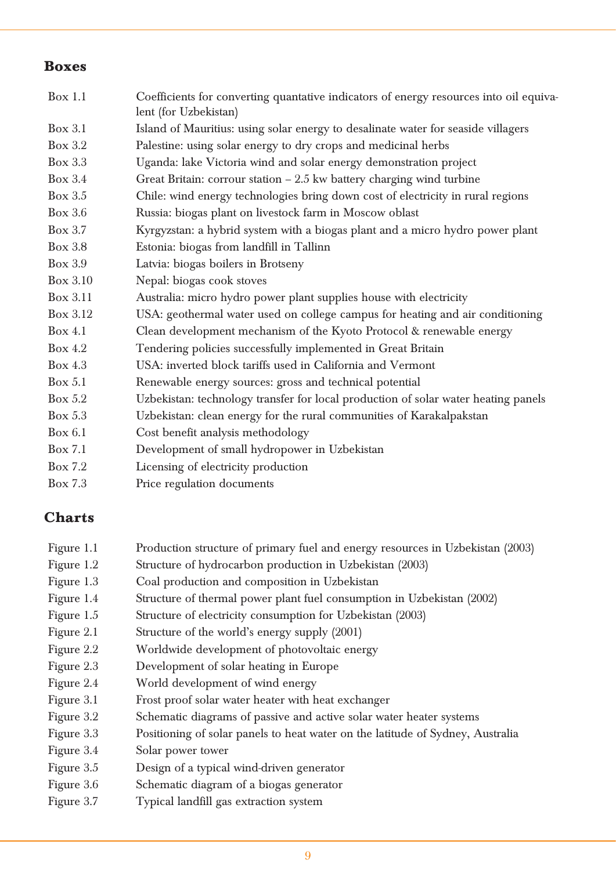### **Boxes**

| Box 1.1   | Coefficients for converting quantative indicators of energy resources into oil equiva-<br>lent (for Uzbekistan) |
|-----------|-----------------------------------------------------------------------------------------------------------------|
| Box $3.1$ | Island of Mauritius: using solar energy to desalinate water for seaside villagers                               |
| Box $3.2$ | Palestine: using solar energy to dry crops and medicinal herbs                                                  |
| Box 3.3   | Uganda: lake Victoria wind and solar energy demonstration project                                               |
| Box 3.4   | Great Britain: corrour station $-2.5$ kw battery charging wind turbine                                          |
| Box 3.5   | Chile: wind energy technologies bring down cost of electricity in rural regions                                 |
| Box 3.6   | Russia: biogas plant on livestock farm in Moscow oblast                                                         |
| Box 3.7   | Kyrgyzstan: a hybrid system with a biogas plant and a micro hydro power plant                                   |
| Box 3.8   | Estonia: biogas from landfill in Tallinn                                                                        |
| Box 3.9   | Latvia: biogas boilers in Brotseny                                                                              |
| Box 3.10  | Nepal: biogas cook stoves                                                                                       |
| Box 3.11  | Australia: micro hydro power plant supplies house with electricity                                              |
| Box 3.12  | USA: geothermal water used on college campus for heating and air conditioning                                   |
| Box $4.1$ | Clean development mechanism of the Kyoto Protocol & renewable energy                                            |
| Box $4.2$ | Tendering policies successfully implemented in Great Britain                                                    |
| Box 4.3   | USA: inverted block tariffs used in California and Vermont                                                      |
| Box 5.1   | Renewable energy sources: gross and technical potential                                                         |
| Box $5.2$ | Uzbekistan: technology transfer for local production of solar water heating panels                              |
| Box 5.3   | Uzbekistan: clean energy for the rural communities of Karakalpakstan                                            |
| Box 6.1   | Cost benefit analysis methodology                                                                               |
| Box 7.1   | Development of small hydropower in Uzbekistan                                                                   |
| Box 7.2   | Licensing of electricity production                                                                             |
| Box 7.3   | Price regulation documents                                                                                      |

## **Charts**

| Figure 1.1 | Production structure of primary fuel and energy resources in Uzbekistan (2003) |  |  |  |
|------------|--------------------------------------------------------------------------------|--|--|--|
|            |                                                                                |  |  |  |

- Figure 1.2 Structure of hydrocarbon production in Uzbekistan (2003)
- Figure 1.3 Coal production and composition in Uzbekistan
- Figure 1.4 Structure of thermal power plant fuel consumption in Uzbekistan (2002)
- Figure 1.5 Structure of electricity consumption for Uzbekistan (2003)
- Figure 2.1 Structure of the world's energy supply (2001)
- Figure 2.2 Worldwide development of photovoltaic energy
- Figure 2.3 Development of solar heating in Europe
- Figure 2.4 World development of wind energy
- Figure 3.1 Frost proof solar water heater with heat exchanger
- Figure 3.2 Schematic diagrams of passive and active solar water heater systems
- Figure 3.3 Positioning of solar panels to heat water on the latitude of Sydney, Australia
- Figure 3.4 Solar power tower
- Figure 3.5 Design of a typical wind-driven generator
- Figure 3.6 Schematic diagram of a biogas generator
- Figure 3.7 Typical landfill gas extraction system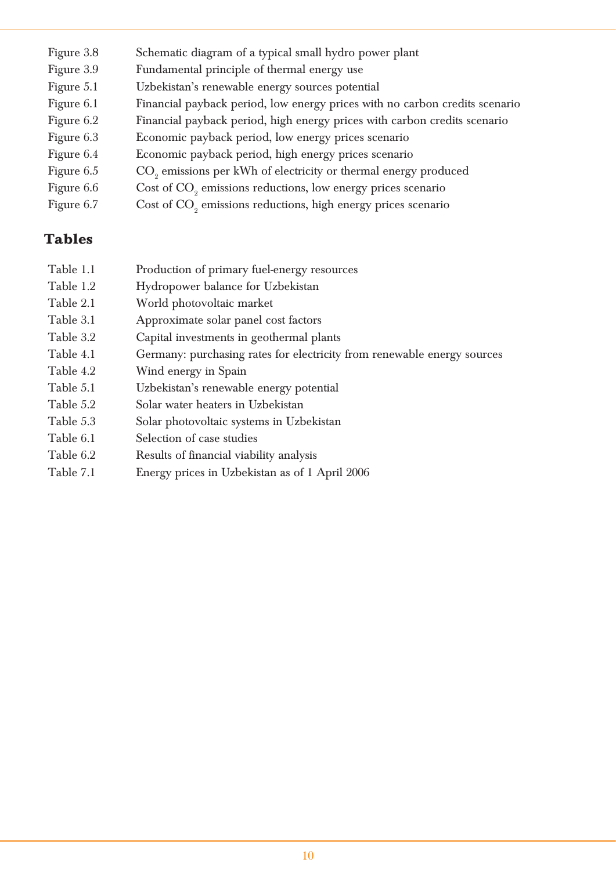| Figure 3.8   | Schematic diagram of a typical small hydro power plant                      |
|--------------|-----------------------------------------------------------------------------|
| Figure 3.9   | Fundamental principle of thermal energy use                                 |
| Figure 5.1   | Uzbekistan's renewable energy sources potential                             |
| Figure 6.1   | Financial payback period, low energy prices with no carbon credits scenario |
| Figure 6.2   | Financial payback period, high energy prices with carbon credits scenario   |
| Figure 6.3   | Economic payback period, low energy prices scenario                         |
| Figure 6.4   | Economic payback period, high energy prices scenario                        |
| Figure $6.5$ | CO <sub>2</sub> emissions per kWh of electricity or thermal energy produced |
| Figure 6.6   | Cost of CO <sub>2</sub> emissions reductions, low energy prices scenario    |
| Figure 6.7   | Cost of CO <sub>2</sub> emissions reductions, high energy prices scenario   |
|              |                                                                             |

## **Tables**

| Table 1.1 | Production of primary fuel-energy resources                             |
|-----------|-------------------------------------------------------------------------|
| Table 1.2 | Hydropower balance for Uzbekistan                                       |
| Table 2.1 | World photovoltaic market                                               |
| Table 3.1 | Approximate solar panel cost factors                                    |
| Table 3.2 | Capital investments in geothermal plants                                |
| Table 4.1 | Germany: purchasing rates for electricity from renewable energy sources |
| Table 4.2 | Wind energy in Spain                                                    |
| Table 5.1 | Uzbekistan's renewable energy potential                                 |
| Table 5.2 | Solar water heaters in Uzbekistan                                       |
| Table 5.3 | Solar photovoltaic systems in Uzbekistan                                |
| Table 6.1 | Selection of case studies                                               |
| Table 6.2 | Results of financial viability analysis                                 |
| Table 7.1 | Energy prices in Uzbekistan as of 1 April 2006                          |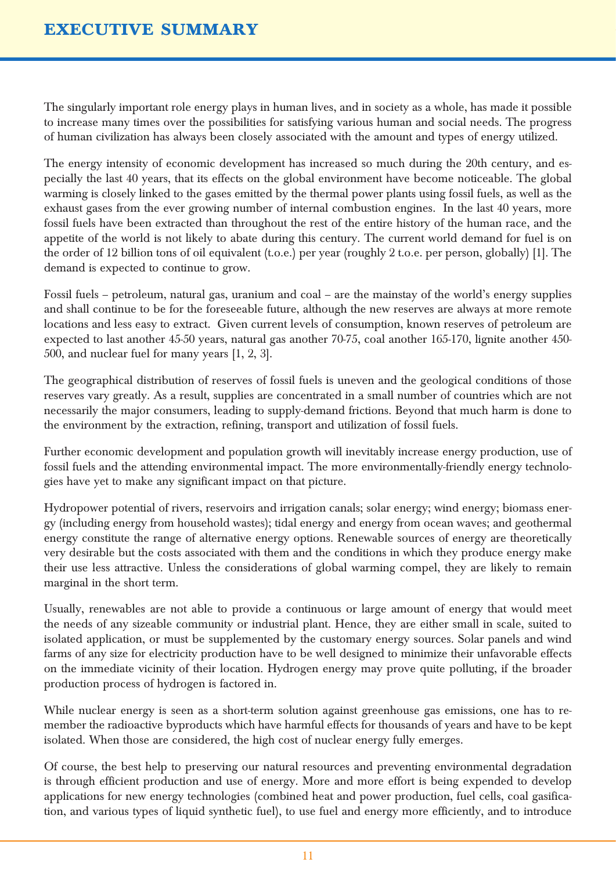The singularly important role energy plays in human lives, and in society as a whole, has made it possible to increase many times over the possibilities for satisfying various human and social needs. The progress of human civilization has always been closely associated with the amount and types of energy utilized.

The energy intensity of economic development has increased so much during the 20th century, and especially the last 40 years, that its effects on the global environment have become noticeable. The global warming is closely linked to the gases emitted by the thermal power plants using fossil fuels, as well as the exhaust gases from the ever growing number of internal combustion engines. In the last 40 years, more fossil fuels have been extracted than throughout the rest of the entire history of the human race, and the appetite of the world is not likely to abate during this century. The current world demand for fuel is on the order of 12 billion tons of oil equivalent (t.o.e.) per year (roughly 2 t.o.e. per person, globally) [1]. The demand is expected to continue to grow.

Fossil fuels – petroleum, natural gas, uranium and coal – are the mainstay of the world's energy supplies and shall continue to be for the foreseeable future, although the new reserves are always at more remote locations and less easy to extract. Given current levels of consumption, known reserves of petroleum are expected to last another 45-50 years, natural gas another 70-75, coal another 165-170, lignite another 450- 500, and nuclear fuel for many years [1, 2, 3].

The geographical distribution of reserves of fossil fuels is uneven and the geological conditions of those reserves vary greatly. As a result, supplies are concentrated in a small number of countries which are not necessarily the major consumers, leading to supply-demand frictions. Beyond that much harm is done to the environment by the extraction, refining, transport and utilization of fossil fuels.

Further economic development and population growth will inevitably increase energy production, use of fossil fuels and the attending environmental impact. The more environmentally-friendly energy technologies have yet to make any significant impact on that picture.

Hydropower potential of rivers, reservoirs and irrigation canals; solar energy; wind energy; biomass energy (including energy from household wastes); tidal energy and energy from ocean waves; and geothermal energy constitute the range of alternative energy options. Renewable sources of energy are theoretically very desirable but the costs associated with them and the conditions in which they produce energy make their use less attractive. Unless the considerations of global warming compel, they are likely to remain marginal in the short term.

Usually, renewables are not able to provide a continuous or large amount of energy that would meet the needs of any sizeable community or industrial plant. Hence, they are either small in scale, suited to isolated application, or must be supplemented by the customary energy sources. Solar panels and wind farms of any size for electricity production have to be well designed to minimize their unfavorable effects on the immediate vicinity of their location. Hydrogen energy may prove quite polluting, if the broader production process of hydrogen is factored in.

While nuclear energy is seen as a short-term solution against greenhouse gas emissions, one has to remember the radioactive byproducts which have harmful effects for thousands of years and have to be kept isolated. When those are considered, the high cost of nuclear energy fully emerges.

Of course, the best help to preserving our natural resources and preventing environmental degradation is through efficient production and use of energy. More and more effort is being expended to develop applications for new energy technologies (combined heat and power production, fuel cells, coal gasification, and various types of liquid synthetic fuel), to use fuel and energy more efficiently, and to introduce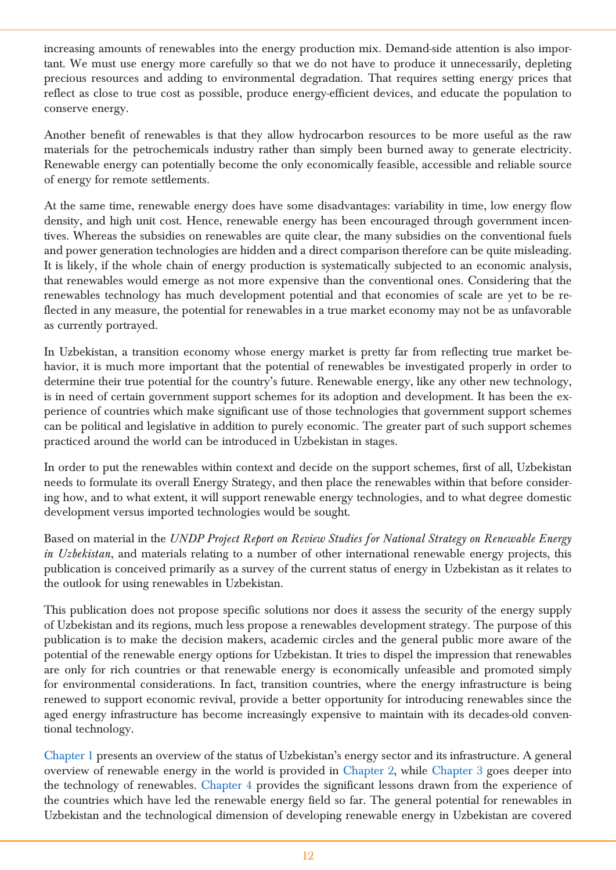increasing amounts of renewables into the energy production mix. Demand-side attention is also important. We must use energy more carefully so that we do not have to produce it unnecessarily, depleting precious resources and adding to environmental degradation. That requires setting energy prices that reflect as close to true cost as possible, produce energy-efficient devices, and educate the population to conserve energy.

Another benefit of renewables is that they allow hydrocarbon resources to be more useful as the raw materials for the petrochemicals industry rather than simply been burned away to generate electricity. Renewable energy can potentially become the only economically feasible, accessible and reliable source of energy for remote settlements.

At the same time, renewable energy does have some disadvantages: variability in time, low energy flow density, and high unit cost. Hence, renewable energy has been encouraged through government incentives. Whereas the subsidies on renewables are quite clear, the many subsidies on the conventional fuels and power generation technologies are hidden and a direct comparison therefore can be quite misleading. It is likely, if the whole chain of energy production is systematically subjected to an economic analysis, that renewables would emerge as not more expensive than the conventional ones. Considering that the renewables technology has much development potential and that economies of scale are yet to be reflected in any measure, the potential for renewables in a true market economy may not be as unfavorable as currently portrayed.

In Uzbekistan, a transition economy whose energy market is pretty far from reflecting true market behavior, it is much more important that the potential of renewables be investigated properly in order to determine their true potential for the country's future. Renewable energy, like any other new technology, is in need of certain government support schemes for its adoption and development. It has been the experience of countries which make significant use of those technologies that government support schemes can be political and legislative in addition to purely economic. The greater part of such support schemes practiced around the world can be introduced in Uzbekistan in stages.

In order to put the renewables within context and decide on the support schemes, first of all, Uzbekistan needs to formulate its overall Energy Strategy, and then place the renewables within that before considering how, and to what extent, it will support renewable energy technologies, and to what degree domestic development versus imported technologies would be sought.

Based on material in the *UNDP Project Report on Review Studies for National Strategy on Renewable Energy in Uzbekistan*, and materials relating to a number of other international renewable energy projects, this publication is conceived primarily as a survey of the current status of energy in Uzbekistan as it relates to the outlook for using renewables in Uzbekistan.

This publication does not propose specific solutions nor does it assess the security of the energy supply of Uzbekistan and its regions, much less propose a renewables development strategy. The purpose of this publication is to make the decision makers, academic circles and the general public more aware of the potential of the renewable energy options for Uzbekistan. It tries to dispel the impression that renewables are only for rich countries or that renewable energy is economically unfeasible and promoted simply for environmental considerations. In fact, transition countries, where the energy infrastructure is being renewed to support economic revival, provide a better opportunity for introducing renewables since the aged energy infrastructure has become increasingly expensive to maintain with its decades-old conventional technology.

Chapter 1 presents an overview of the status of Uzbekistan's energy sector and its infrastructure. A general overview of renewable energy in the world is provided in Chapter 2, while Chapter 3 goes deeper into the technology of renewables. Chapter 4 provides the significant lessons drawn from the experience of the countries which have led the renewable energy field so far. The general potential for renewables in Uzbekistan and the technological dimension of developing renewable energy in Uzbekistan are covered